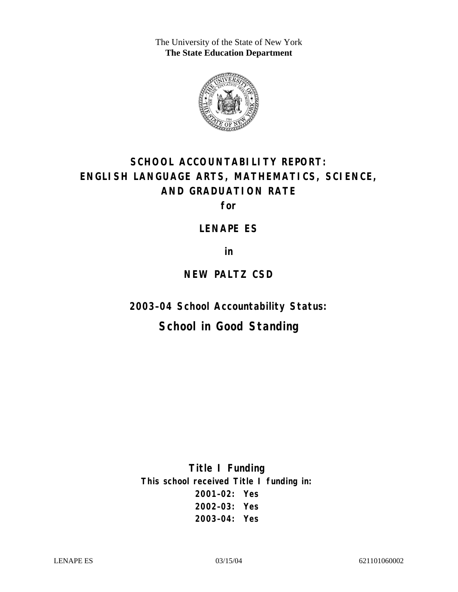The University of the State of New York **The State Education Department** 



# **SCHOOL ACCOUNTABILITY REPORT: ENGLISH LANGUAGE ARTS, MATHEMATICS, SCIENCE, AND GRADUATION RATE**

**for** 

**LENAPE ES** 

**in** 

### **NEW PALTZ CSD**

**2003–04 School Accountability Status:** 

## **School in Good Standing**

**Title I Funding This school received Title I funding in: 2001–02: Yes 2002–03: Yes 2003–04: Yes**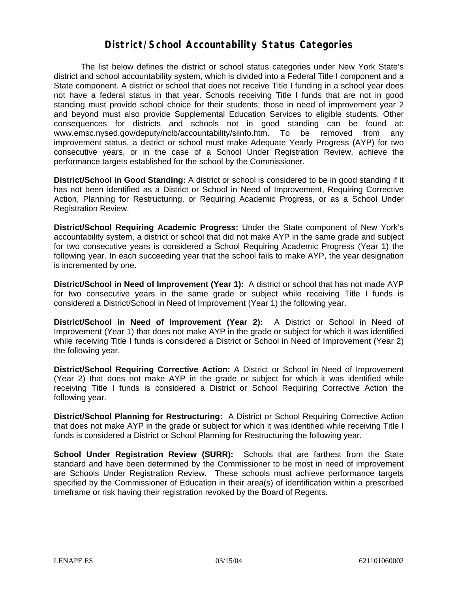#### **District/School Accountability Status Categories**

The list below defines the district or school status categories under New York State's district and school accountability system, which is divided into a Federal Title I component and a State component. A district or school that does not receive Title I funding in a school year does not have a federal status in that year. Schools receiving Title I funds that are not in good standing must provide school choice for their students; those in need of improvement year 2 and beyond must also provide Supplemental Education Services to eligible students. Other consequences for districts and schools not in good standing can be found at: www.emsc.nysed.gov/deputy/nclb/accountability/siinfo.htm. To be removed from any improvement status, a district or school must make Adequate Yearly Progress (AYP) for two consecutive years, or in the case of a School Under Registration Review, achieve the performance targets established for the school by the Commissioner.

**District/School in Good Standing:** A district or school is considered to be in good standing if it has not been identified as a District or School in Need of Improvement, Requiring Corrective Action, Planning for Restructuring, or Requiring Academic Progress, or as a School Under Registration Review.

**District/School Requiring Academic Progress:** Under the State component of New York's accountability system, a district or school that did not make AYP in the same grade and subject for two consecutive years is considered a School Requiring Academic Progress (Year 1) the following year. In each succeeding year that the school fails to make AYP, the year designation is incremented by one.

**District/School in Need of Improvement (Year 1):** A district or school that has not made AYP for two consecutive years in the same grade or subject while receiving Title I funds is considered a District/School in Need of Improvement (Year 1) the following year.

**District/School in Need of Improvement (Year 2):** A District or School in Need of Improvement (Year 1) that does not make AYP in the grade or subject for which it was identified while receiving Title I funds is considered a District or School in Need of Improvement (Year 2) the following year.

**District/School Requiring Corrective Action:** A District or School in Need of Improvement (Year 2) that does not make AYP in the grade or subject for which it was identified while receiving Title I funds is considered a District or School Requiring Corrective Action the following year.

**District/School Planning for Restructuring:** A District or School Requiring Corrective Action that does not make AYP in the grade or subject for which it was identified while receiving Title I funds is considered a District or School Planning for Restructuring the following year.

**School Under Registration Review (SURR):** Schools that are farthest from the State standard and have been determined by the Commissioner to be most in need of improvement are Schools Under Registration Review. These schools must achieve performance targets specified by the Commissioner of Education in their area(s) of identification within a prescribed timeframe or risk having their registration revoked by the Board of Regents.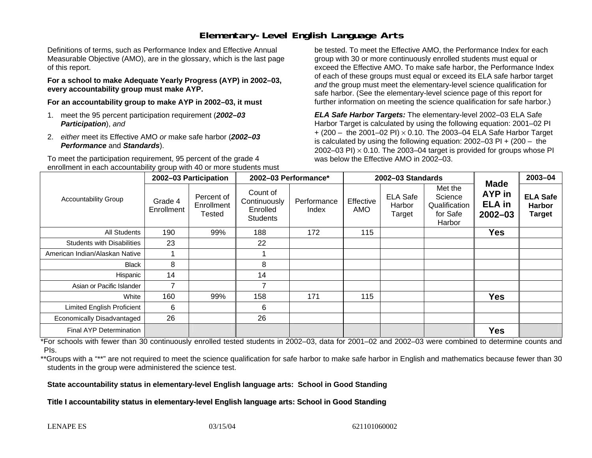### **Elementary-Level English Language Arts**

Definitions of terms, such as Performance Index and Effective Annual Measurable Objective (AMO), are in the glossary, which is the last page of this report.

**For a school to make Adequate Yearly Progress (AYP) in 2002–03, every accountability group must make AYP.** 

**For an accountability group to make AYP in 2002–03, it must** 

- 1. meet the 95 percent participation requirement (*2002–03 Participation*), *and*
- 2. *either* meet its Effective AMO *or* make safe harbor (*2002–03 Performance* and *Standards*).

To meet the participation requirement, 95 percent of the grade 4 enrollment in each accountability group with 40 or more students must

be tested. To meet the Effective AMO, the Performance Index for each group with 30 or more continuously enrolled students must equal or exceed the Effective AMO. To make safe harbor, the Performance Index of each of these groups must equal or exceed its ELA safe harbor target *and* the group must meet the elementary-level science qualification for safe harbor. (See the elementary-level science page of this report for further information on meeting the science qualification for safe harbor.)

*ELA Safe Harbor Targets:* The elementary-level 2002–03 ELA Safe Harbor Target is calculated by using the following equation: 2001–02 PI + (200 – the 2001–02 PI) <sup>×</sup> 0.10. The 2003–04 ELA Safe Harbor Target is calculated by using the following equation: 2002–03 PI + (200 – the 2002–03 PI)  $\times$  0.10. The 2003–04 target is provided for groups whose PI was below the Effective AMO in 2002–03.

| <b>Accountability Group</b>       | 2002-03 Participation |                                           | 2002-03 Performance*                                    |                      | 2002-03 Standards |                                     |                                                           |                                                       | 2003-04                                           |
|-----------------------------------|-----------------------|-------------------------------------------|---------------------------------------------------------|----------------------|-------------------|-------------------------------------|-----------------------------------------------------------|-------------------------------------------------------|---------------------------------------------------|
|                                   | Grade 4<br>Enrollment | Percent of<br>Enrollment<br><b>Tested</b> | Count of<br>Continuously<br>Enrolled<br><b>Students</b> | Performance<br>Index | Effective<br>AMO  | <b>ELA Safe</b><br>Harbor<br>Target | Met the<br>Science<br>Qualification<br>for Safe<br>Harbor | Made<br><b>AYP</b> in<br><b>ELA</b> in<br>$2002 - 03$ | <b>ELA Safe</b><br><b>Harbor</b><br><b>Target</b> |
| <b>All Students</b>               | 190                   | 99%                                       | 188                                                     | 172                  | 115               |                                     |                                                           | <b>Yes</b>                                            |                                                   |
| <b>Students with Disabilities</b> | 23                    |                                           | 22                                                      |                      |                   |                                     |                                                           |                                                       |                                                   |
| American Indian/Alaskan Native    |                       |                                           |                                                         |                      |                   |                                     |                                                           |                                                       |                                                   |
| <b>Black</b>                      | 8                     |                                           | 8                                                       |                      |                   |                                     |                                                           |                                                       |                                                   |
| Hispanic                          | 14                    |                                           | 14                                                      |                      |                   |                                     |                                                           |                                                       |                                                   |
| Asian or Pacific Islander         |                       |                                           | 7                                                       |                      |                   |                                     |                                                           |                                                       |                                                   |
| White                             | 160                   | 99%                                       | 158                                                     | 171                  | 115               |                                     |                                                           | <b>Yes</b>                                            |                                                   |
| <b>Limited English Proficient</b> | 6                     |                                           | 6                                                       |                      |                   |                                     |                                                           |                                                       |                                                   |
| Economically Disadvantaged        | 26                    |                                           | 26                                                      |                      |                   |                                     |                                                           |                                                       |                                                   |
| Final AYP Determination           |                       |                                           |                                                         |                      |                   |                                     |                                                           | <b>Yes</b>                                            |                                                   |

\*For schools with fewer than 30 continuously enrolled tested students in 2002–03, data for 2001–02 and 2002–03 were combined to determine counts and PIs.

\*\*Groups with a "\*\*" are not required to meet the science qualification for safe harbor to make safe harbor in English and mathematics because fewer than 30 students in the group were administered the science test.

**State accountability status in elementary-level English language arts: School in Good Standing** 

Title I accountability status in elementary-level English language arts: School in Good Standing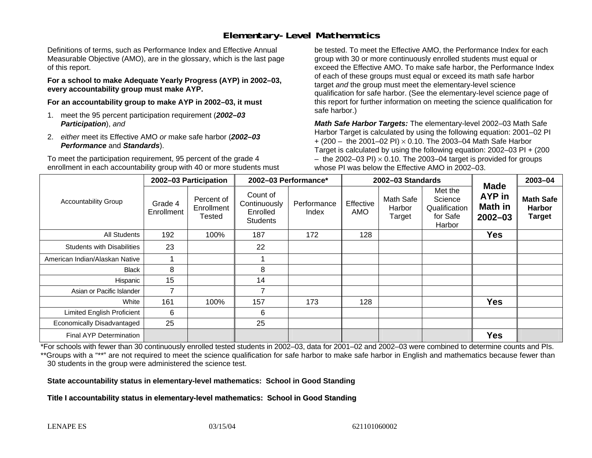### **Elementary-Level Mathematics**

Definitions of terms, such as Performance Index and Effective Annual Measurable Objective (AMO), are in the glossary, which is the last page of this report.

**For a school to make Adequate Yearly Progress (AYP) in 2002–03, every accountability group must make AYP.** 

**For an accountability group to make AYP in 2002–03, it must** 

- 1. meet the 95 percent participation requirement (*2002–03 Participation*), *and*
- 2. *either* meet its Effective AMO *or* make safe harbor (*2002–03 Performance* and *Standards*).

To meet the participation requirement, 95 percent of the grade 4 enrollment in each accountability group with 40 or more students must

be tested. To meet the Effective AMO, the Performance Index for each group with 30 or more continuously enrolled students must equal or exceed the Effective AMO. To make safe harbor, the Performance Index of each of these groups must equal or exceed its math safe harbor target *and* the group must meet the elementary-level science qualification for safe harbor. (See the elementary-level science page of this report for further information on meeting the science qualification for safe harbor.)

*Math Safe Harbor Targets:* The elementary-level 2002–03 Math Safe Harbor Target is calculated by using the following equation: 2001–02 PI + (200 – the 2001–02 PI) × 0.10. The 2003–04 Math Safe Harbor Target is calculated by using the following equation: 2002–03 PI + (200  $-$  the 2002–03 PI)  $\times$  0.10. The 2003–04 target is provided for groups whose PI was below the Effective AMO in 2002–03.

| <b>Accountability Group</b>       | 2002-03 Participation |                                    | 2002-03 Performance*                                    |                      | 2002-03 Standards |                               |                                                           |                                                               | 2003-04                                            |
|-----------------------------------|-----------------------|------------------------------------|---------------------------------------------------------|----------------------|-------------------|-------------------------------|-----------------------------------------------------------|---------------------------------------------------------------|----------------------------------------------------|
|                                   | Grade 4<br>Enrollment | Percent of<br>Enrollment<br>Tested | Count of<br>Continuously<br>Enrolled<br><b>Students</b> | Performance<br>Index | Effective<br>AMO  | Math Safe<br>Harbor<br>Target | Met the<br>Science<br>Qualification<br>for Safe<br>Harbor | <b>Made</b><br><b>AYP</b> in<br><b>Math in</b><br>$2002 - 03$ | <b>Math Safe</b><br><b>Harbor</b><br><b>Target</b> |
| All Students                      | 192                   | 100%                               | 187                                                     | 172                  | 128               |                               |                                                           | <b>Yes</b>                                                    |                                                    |
| <b>Students with Disabilities</b> | 23                    |                                    | 22                                                      |                      |                   |                               |                                                           |                                                               |                                                    |
| American Indian/Alaskan Native    |                       |                                    |                                                         |                      |                   |                               |                                                           |                                                               |                                                    |
| <b>Black</b>                      | 8                     |                                    | 8                                                       |                      |                   |                               |                                                           |                                                               |                                                    |
| Hispanic                          | 15                    |                                    | 14                                                      |                      |                   |                               |                                                           |                                                               |                                                    |
| Asian or Pacific Islander         | $\overline{7}$        |                                    | 7                                                       |                      |                   |                               |                                                           |                                                               |                                                    |
| White                             | 161                   | 100%                               | 157                                                     | 173                  | 128               |                               |                                                           | <b>Yes</b>                                                    |                                                    |
| <b>Limited English Proficient</b> | 6                     |                                    | 6                                                       |                      |                   |                               |                                                           |                                                               |                                                    |
| Economically Disadvantaged        | 25                    |                                    | 25                                                      |                      |                   |                               |                                                           |                                                               |                                                    |
| Final AYP Determination           |                       |                                    |                                                         |                      |                   |                               |                                                           | <b>Yes</b>                                                    |                                                    |

\*For schools with fewer than 30 continuously enrolled tested students in 2002–03, data for 2001–02 and 2002–03 were combined to determine counts and PIs. \*\*Groups with a "\*\*" are not required to meet the science qualification for safe harbor to make safe harbor in English and mathematics because fewer than 30 students in the group were administered the science test.

**State accountability status in elementary-level mathematics: School in Good Standing** 

Title I accountability status in elementary-level mathematics: School in Good Standing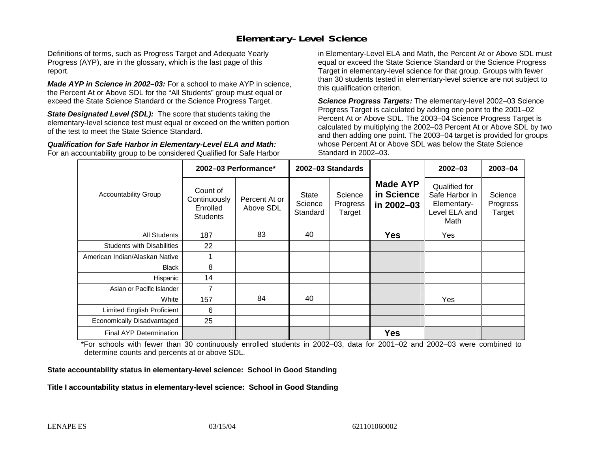#### **Elementary-Level Science**

Definitions of terms, such as Progress Target and Adequate Yearly Progress (AYP), are in the glossary, which is the last page of this report.

*Made AYP in Science in 2002–03:* For a school to make AYP in science, the Percent At or Above SDL for the "All Students" group must equal or exceed the State Science Standard or the Science Progress Target.

**State Designated Level (SDL):** The score that students taking the elementary-level science test must equal or exceed on the written portion of the test to meet the State Science Standard.

*Qualification for Safe Harbor in Elementary-Level ELA and Math:* For an accountability group to be considered Qualified for Safe Harbor in Elementary-Level ELA and Math, the Percent At or Above SDL must equal or exceed the State Science Standard or the Science Progress Target in elementary-level science for that group. Groups with fewer than 30 students tested in elementary-level science are not subject to this qualification criterion.

*Science Progress Targets:* The elementary-level 2002–03 Science Progress Target is calculated by adding one point to the 2001–02 Percent At or Above SDL. The 2003–04 Science Progress Target is calculated by multiplying the 2002–03 Percent At or Above SDL by two and then adding one point. The 2003–04 target is provided for groups whose Percent At or Above SDL was below the State Science Standard in 2002–03.

|                                   |                                                         | 2002-03 Performance*       | 2002-03 Standards                   |                               |                                             | $2002 - 03$                                                             | $2003 - 04$                   |
|-----------------------------------|---------------------------------------------------------|----------------------------|-------------------------------------|-------------------------------|---------------------------------------------|-------------------------------------------------------------------------|-------------------------------|
| <b>Accountability Group</b>       | Count of<br>Continuously<br>Enrolled<br><b>Students</b> | Percent At or<br>Above SDL | <b>State</b><br>Science<br>Standard | Science<br>Progress<br>Target | <b>Made AYP</b><br>in Science<br>in 2002-03 | Qualified for<br>Safe Harbor in<br>Elementary-<br>Level ELA and<br>Math | Science<br>Progress<br>Target |
| All Students                      | 187                                                     | 83                         | 40                                  |                               | <b>Yes</b>                                  | Yes                                                                     |                               |
| <b>Students with Disabilities</b> | 22                                                      |                            |                                     |                               |                                             |                                                                         |                               |
| American Indian/Alaskan Native    |                                                         |                            |                                     |                               |                                             |                                                                         |                               |
| <b>Black</b>                      | 8                                                       |                            |                                     |                               |                                             |                                                                         |                               |
| Hispanic                          | 14                                                      |                            |                                     |                               |                                             |                                                                         |                               |
| Asian or Pacific Islander         |                                                         |                            |                                     |                               |                                             |                                                                         |                               |
| White                             | 157                                                     | 84                         | 40                                  |                               |                                             | Yes                                                                     |                               |
| Limited English Proficient        | 6                                                       |                            |                                     |                               |                                             |                                                                         |                               |
| Economically Disadvantaged        | 25                                                      |                            |                                     |                               |                                             |                                                                         |                               |
| <b>Final AYP Determination</b>    |                                                         |                            |                                     |                               | <b>Yes</b>                                  |                                                                         |                               |

\*For schools with fewer than 30 continuously enrolled students in 2002–03, data for 2001–02 and 2002–03 were combined to determine counts and percents at or above SDL.

#### **State accountability status in elementary-level science: School in Good Standing**

#### Title I accountability status in elementary-level science: School in Good Standing